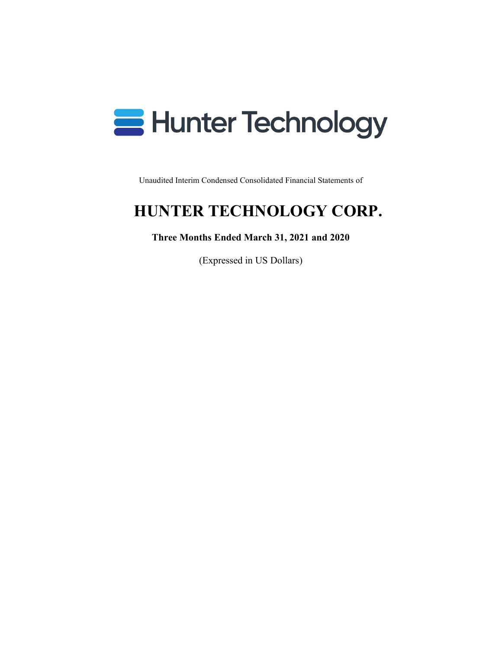

Unaudited Interim Condensed Consolidated Financial Statements of

# **HUNTER TECHNOLOGY CORP.**

# **Three Months Ended March 31, 2021 and 2020**

(Expressed in US Dollars)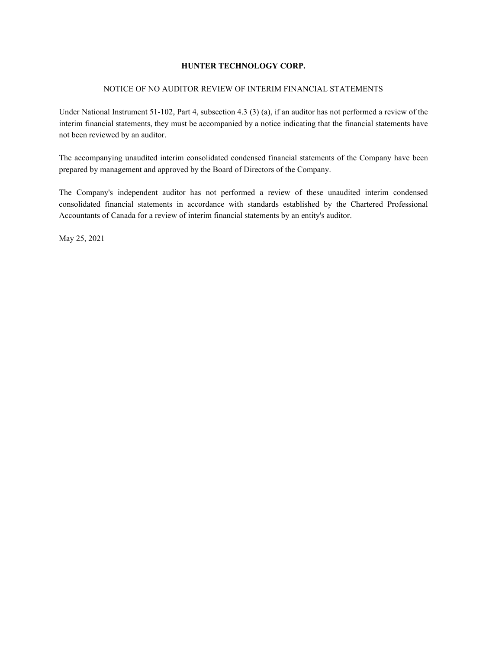#### NOTICE OF NO AUDITOR REVIEW OF INTERIM FINANCIAL STATEMENTS

Under National Instrument 51-102, Part 4, subsection 4.3 (3) (a), if an auditor has not performed a review of the interim financial statements, they must be accompanied by a notice indicating that the financial statements have not been reviewed by an auditor.

The accompanying unaudited interim consolidated condensed financial statements of the Company have been prepared by management and approved by the Board of Directors of the Company.

The Company's independent auditor has not performed a review of these unaudited interim condensed consolidated financial statements in accordance with standards established by the Chartered Professional Accountants of Canada for a review of interim financial statements by an entity's auditor.

May 25, 2021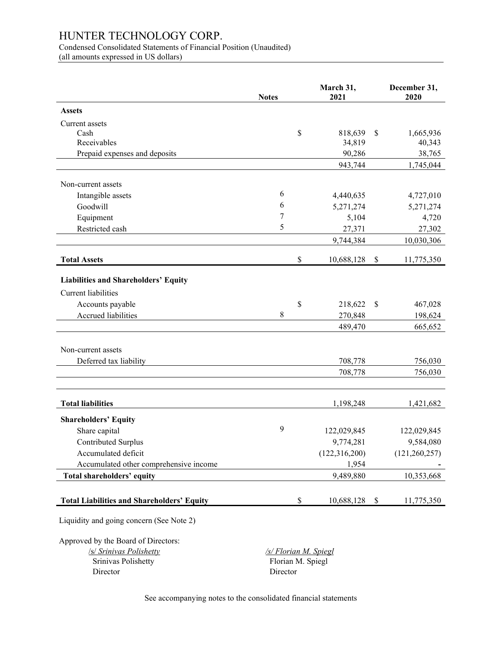Condensed Consolidated Statements of Financial Position (Unaudited) (all amounts expressed in US dollars)

|                                                   | <b>Notes</b>          | March 31,<br>2021 |                           | December 31,<br>2020 |
|---------------------------------------------------|-----------------------|-------------------|---------------------------|----------------------|
| <b>Assets</b>                                     |                       |                   |                           |                      |
| Current assets                                    |                       |                   |                           |                      |
| Cash                                              |                       | \$<br>818,639     | \$                        | 1,665,936            |
| Receivables                                       |                       | 34,819            |                           | 40,343               |
| Prepaid expenses and deposits                     |                       | 90,286            |                           | 38,765               |
|                                                   |                       | 943,744           |                           | 1,745,044            |
| Non-current assets                                |                       |                   |                           |                      |
| Intangible assets                                 | 6                     | 4,440,635         |                           | 4,727,010            |
| Goodwill                                          | 6                     | 5,271,274         |                           | 5,271,274            |
| Equipment                                         | 7                     | 5,104             |                           | 4,720                |
| Restricted cash                                   | 5                     | 27,371            |                           | 27,302               |
|                                                   |                       | 9,744,384         |                           | 10,030,306           |
|                                                   |                       |                   |                           |                      |
| <b>Total Assets</b>                               |                       | \$<br>10,688,128  | $\boldsymbol{\mathsf{S}}$ | 11,775,350           |
| <b>Liabilities and Shareholders' Equity</b>       |                       |                   |                           |                      |
| <b>Current liabilities</b>                        |                       |                   |                           |                      |
|                                                   |                       |                   |                           |                      |
| Accounts payable<br>Accrued liabilities           | 8                     | \$<br>218,622     | \$                        | 467,028<br>198,624   |
|                                                   |                       | 270,848           |                           |                      |
|                                                   |                       | 489,470           |                           | 665,652              |
| Non-current assets                                |                       |                   |                           |                      |
| Deferred tax liability                            |                       | 708,778           |                           | 756,030              |
|                                                   |                       | 708,778           |                           | 756,030              |
|                                                   |                       |                   |                           |                      |
| <b>Total liabilities</b>                          |                       | 1,198,248         |                           | 1,421,682            |
| <b>Shareholders' Equity</b>                       |                       |                   |                           |                      |
| Share capital                                     | 9                     | 122,029,845       |                           | 122,029,845          |
| Contributed Surplus                               |                       | 9,774,281         |                           | 9,584,080            |
| Accumulated deficit                               |                       | (122, 316, 200)   |                           | (121, 260, 257)      |
| Accumulated other comprehensive income            |                       | 1,954             |                           |                      |
| Total shareholders' equity                        |                       | 9,489,880         |                           | 10,353,668           |
|                                                   |                       |                   |                           |                      |
| <b>Total Liabilities and Shareholders' Equity</b> |                       | \$<br>10,688,128  | $\boldsymbol{\mathsf{S}}$ | 11,775,350           |
| Liquidity and going concern (See Note 2)          |                       |                   |                           |                      |
| Approved by the Board of Directors:               |                       |                   |                           |                      |
| <b>/s/ Srinivas Polishetty</b>                    | /s/ Florian M. Spiegl |                   |                           |                      |
| Srinivas Polishetty                               | Florian M. Spiegl     |                   |                           |                      |
| Director                                          | Director              |                   |                           |                      |

See accompanying notes to the consolidated financial statements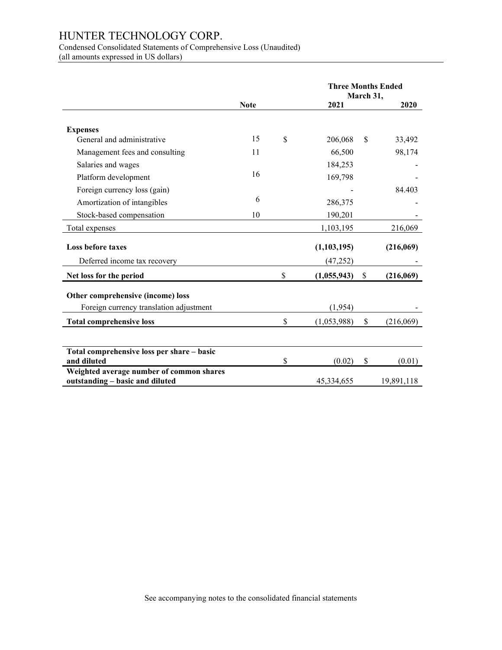Condensed Consolidated Statements of Comprehensive Loss (Unaudited)

(all amounts expressed in US dollars)

|                                                                             |             | <b>Three Months Ended</b><br>March 31, |               |    |            |
|-----------------------------------------------------------------------------|-------------|----------------------------------------|---------------|----|------------|
|                                                                             | <b>Note</b> |                                        | 2021          |    | 2020       |
| <b>Expenses</b>                                                             |             |                                        |               |    |            |
| General and administrative                                                  | 15          | \$                                     | 206,068       | \$ | 33,492     |
| Management fees and consulting                                              | 11          |                                        | 66,500        |    | 98,174     |
| Salaries and wages                                                          |             |                                        | 184,253       |    |            |
| Platform development                                                        | 16          |                                        | 169,798       |    |            |
| Foreign currency loss (gain)                                                |             |                                        |               |    | 84.403     |
| Amortization of intangibles                                                 | 6           |                                        | 286,375       |    |            |
| Stock-based compensation                                                    | 10          |                                        | 190,201       |    |            |
| Total expenses                                                              |             |                                        | 1,103,195     |    | 216,069    |
| Loss before taxes                                                           |             |                                        | (1, 103, 195) |    | (216,069)  |
| Deferred income tax recovery                                                |             |                                        | (47,252)      |    |            |
| Net loss for the period                                                     |             | $\mathbb{S}$                           | (1,055,943)   | \$ | (216,069)  |
| Other comprehensive (income) loss                                           |             |                                        |               |    |            |
| Foreign currency translation adjustment                                     |             |                                        | (1,954)       |    |            |
| <b>Total comprehensive loss</b>                                             |             | \$                                     | (1,053,988)   | \$ | (216,069)  |
|                                                                             |             |                                        |               |    |            |
| Total comprehensive loss per share - basic<br>and diluted                   |             | \$                                     | (0.02)        | \$ | (0.01)     |
| Weighted average number of common shares<br>outstanding - basic and diluted |             |                                        | 45,334,655    |    | 19,891,118 |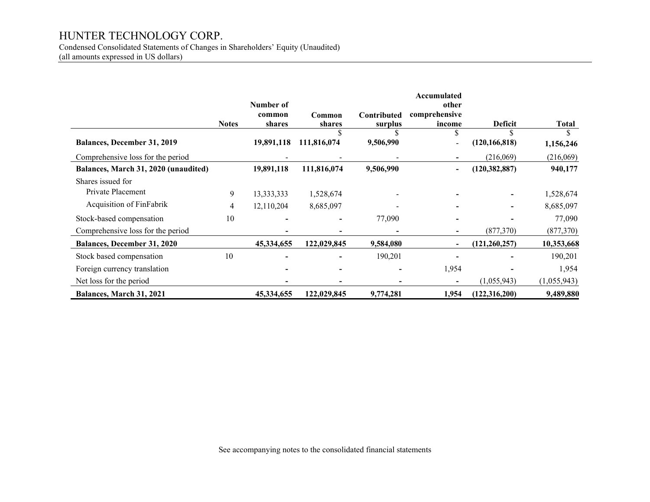Condensed Consolidated Statements of Changes in Shareholders' Equity (Unaudited)

(all amounts expressed in US dollars)

|                                      |              | Number of        |                  |                        | Accumulated                      |                 |              |
|--------------------------------------|--------------|------------------|------------------|------------------------|----------------------------------|-----------------|--------------|
|                                      | <b>Notes</b> | common<br>shares | Common<br>shares | Contributed<br>surplus | other<br>comprehensive<br>income | <b>Deficit</b>  | <b>Total</b> |
| <b>Balances, December 31, 2019</b>   |              | 19,891,118       | 111,816,074      | 9,506,990              | $\blacksquare$                   | (120, 166, 818) | 1,156,246    |
| Comprehensive loss for the period    |              |                  |                  |                        |                                  | (216,069)       | (216,069)    |
| Balances, March 31, 2020 (unaudited) |              | 19,891,118       | 111,816,074      | 9,506,990              | $\overline{\phantom{a}}$         | (120, 382, 887) | 940,177      |
| Shares issued for                    |              |                  |                  |                        |                                  |                 |              |
| Private Placement                    | 9            | 13,333,333       | 1,528,674        |                        |                                  |                 | 1,528,674    |
| Acquisition of FinFabrik             | 4            | 12,110,204       | 8,685,097        |                        |                                  |                 | 8,685,097    |
| Stock-based compensation             | 10           |                  |                  | 77,090                 |                                  |                 | 77,090       |
| Comprehensive loss for the period    |              |                  |                  |                        |                                  | (877, 370)      | (877, 370)   |
| <b>Balances, December 31, 2020</b>   |              | 45,334,655       | 122,029,845      | 9,584,080              | $\blacksquare$                   | (121, 260, 257) | 10,353,668   |
| Stock based compensation             | 10           |                  |                  | 190,201                |                                  |                 | 190,201      |
| Foreign currency translation         |              |                  |                  |                        | 1,954                            |                 | 1,954        |
| Net loss for the period              |              |                  |                  |                        | $\blacksquare$                   | (1,055,943)     | (1,055,943)  |
| Balances, March 31, 2021             |              | 45,334,655       | 122,029,845      | 9,774,281              | 1,954                            | (122, 316, 200) | 9,489,880    |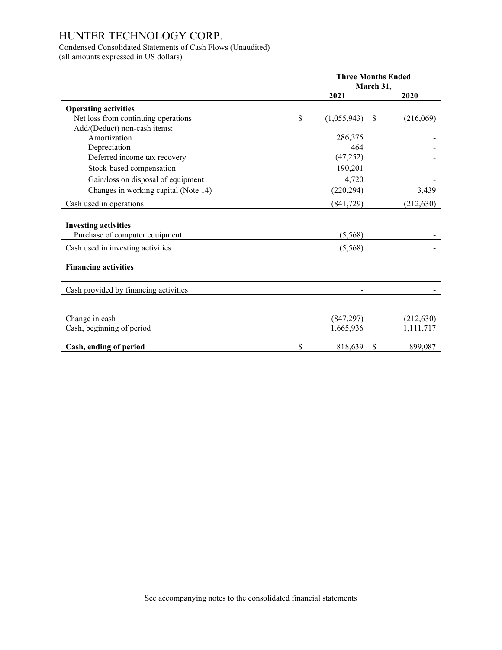# Condensed Consolidated Statements of Cash Flows (Unaudited)

(all amounts expressed in US dollars)

|                                                               | <b>Three Months Ended</b><br>March 31, |    |            |
|---------------------------------------------------------------|----------------------------------------|----|------------|
|                                                               | 2021                                   |    | 2020       |
| <b>Operating activities</b>                                   |                                        |    |            |
| Net loss from continuing operations                           | \$<br>(1,055,943)                      | \$ | (216,069)  |
| Add/(Deduct) non-cash items:                                  |                                        |    |            |
| Amortization                                                  | 286,375                                |    |            |
| Depreciation                                                  | 464                                    |    |            |
| Deferred income tax recovery                                  | (47, 252)                              |    |            |
| Stock-based compensation                                      | 190,201                                |    |            |
| Gain/loss on disposal of equipment                            | 4,720                                  |    |            |
| Changes in working capital (Note 14)                          | (220, 294)                             |    | 3,439      |
| Cash used in operations                                       | (841, 729)                             |    | (212, 630) |
|                                                               |                                        |    |            |
| <b>Investing activities</b><br>Purchase of computer equipment | (5,568)                                |    |            |
| Cash used in investing activities                             | (5,568)                                |    |            |
| <b>Financing activities</b>                                   |                                        |    |            |
| Cash provided by financing activities                         |                                        |    |            |
|                                                               |                                        |    |            |
| Change in cash                                                | (847, 297)                             |    | (212, 630) |
| Cash, beginning of period                                     | 1,665,936                              |    | 1,111,717  |
| Cash, ending of period                                        | \$<br>818,639                          | \$ | 899,087    |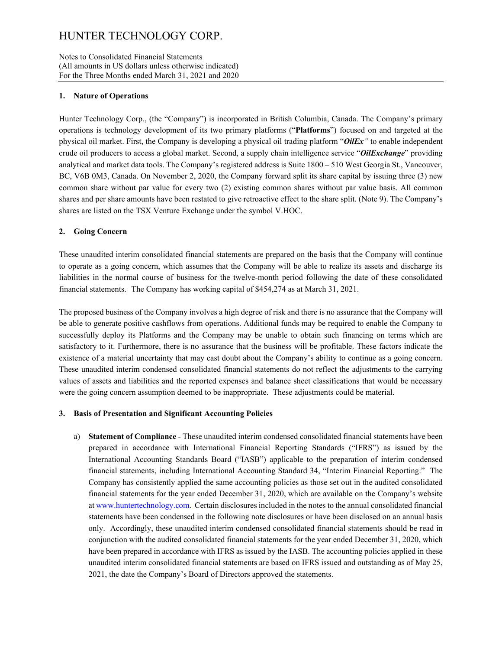#### Notes to Consolidated Financial Statements (All amounts in US dollars unless otherwise indicated) For the Three Months ended March 31, 2021 and 2020

### **1. Nature of Operations**

Hunter Technology Corp., (the "Company") is incorporated in British Columbia, Canada. The Company's primary operations is technology development of its two primary platforms ("**Platforms**") focused on and targeted at the physical oil market. First, the Company is developing a physical oil trading platform "*OilEx"* to enable independent crude oil producers to access a global market. Second, a supply chain intelligence service "*OilExchange*" providing analytical and market data tools. The Company's registered address is Suite 1800 – 510 West Georgia St., Vancouver, BC, V6B 0M3, Canada. On November 2, 2020, the Company forward split its share capital by issuing three (3) new common share without par value for every two (2) existing common shares without par value basis. All common shares and per share amounts have been restated to give retroactive effect to the share split. (Note 9). The Company's shares are listed on the TSX Venture Exchange under the symbol V.HOC.

### **2. Going Concern**

These unaudited interim consolidated financial statements are prepared on the basis that the Company will continue to operate as a going concern, which assumes that the Company will be able to realize its assets and discharge its liabilities in the normal course of business for the twelve-month period following the date of these consolidated financial statements. The Company has working capital of \$454,274 as at March 31, 2021.

The proposed business of the Company involves a high degree of risk and there is no assurance that the Company will be able to generate positive cashflows from operations. Additional funds may be required to enable the Company to successfully deploy its Platforms and the Company may be unable to obtain such financing on terms which are satisfactory to it. Furthermore, there is no assurance that the business will be profitable. These factors indicate the existence of a material uncertainty that may cast doubt about the Company's ability to continue as a going concern. These unaudited interim condensed consolidated financial statements do not reflect the adjustments to the carrying values of assets and liabilities and the reported expenses and balance sheet classifications that would be necessary were the going concern assumption deemed to be inappropriate. These adjustments could be material.

# **3. Basis of Presentation and Significant Accounting Policies**

a) **Statement of Compliance** - These unaudited interim condensed consolidated financial statements have been prepared in accordance with International Financial Reporting Standards ("IFRS") as issued by the International Accounting Standards Board ("IASB") applicable to the preparation of interim condensed financial statements, including International Accounting Standard 34, "Interim Financial Reporting." The Company has consistently applied the same accounting policies as those set out in the audited consolidated financial statements for the year ended December 31, 2020, which are available on the Company's website a[t www.huntertechnology.com.](http://www.huntertechnology.com/) Certain disclosures included in the notes to the annual consolidated financial statements have been condensed in the following note disclosures or have been disclosed on an annual basis only. Accordingly, these unaudited interim condensed consolidated financial statements should be read in conjunction with the audited consolidated financial statements for the year ended December 31, 2020, which have been prepared in accordance with IFRS as issued by the IASB. The accounting policies applied in these unaudited interim consolidated financial statements are based on IFRS issued and outstanding as of May 25, 2021, the date the Company's Board of Directors approved the statements.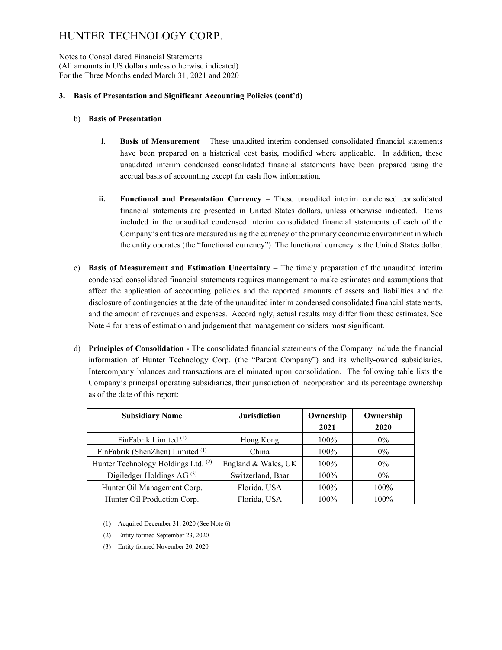Notes to Consolidated Financial Statements (All amounts in US dollars unless otherwise indicated) For the Three Months ended March 31, 2021 and 2020

### **3. Basis of Presentation and Significant Accounting Policies (cont'd)**

### b) **Basis of Presentation**

- **i. Basis of Measurement** These unaudited interim condensed consolidated financial statements have been prepared on a historical cost basis, modified where applicable. In addition, these unaudited interim condensed consolidated financial statements have been prepared using the accrual basis of accounting except for cash flow information.
- **ii. Functional and Presentation Currency**  These unaudited interim condensed consolidated financial statements are presented in United States dollars, unless otherwise indicated. Items included in the unaudited condensed interim consolidated financial statements of each of the Company's entities are measured using the currency of the primary economic environment in which the entity operates (the "functional currency"). The functional currency is the United States dollar.
- c) **Basis of Measurement and Estimation Uncertainty** The timely preparation of the unaudited interim condensed consolidated financial statements requires management to make estimates and assumptions that affect the application of accounting policies and the reported amounts of assets and liabilities and the disclosure of contingencies at the date of the unaudited interim condensed consolidated financial statements, and the amount of revenues and expenses. Accordingly, actual results may differ from these estimates. See Note 4 for areas of estimation and judgement that management considers most significant.
- d) **Principles of Consolidation -** The consolidated financial statements of the Company include the financial information of Hunter Technology Corp. (the "Parent Company") and its wholly-owned subsidiaries. Intercompany balances and transactions are eliminated upon consolidation. The following table lists the Company's principal operating subsidiaries, their jurisdiction of incorporation and its percentage ownership as of the date of this report:

| <b>Subsidiary Name</b>                | <b>Jurisdiction</b> | Ownership<br>2021 | Ownership<br>2020 |
|---------------------------------------|---------------------|-------------------|-------------------|
| FinFabrik Limited $(1)$               | Hong Kong           | $100\%$           | $0\%$             |
| FinFabrik (ShenZhen) Limited (1)      | China               | $100\%$           | $0\%$             |
| Hunter Technology Holdings Ltd. (2)   | England & Wales, UK | $100\%$           | $0\%$             |
| Digiledger Holdings AG <sup>(3)</sup> | Switzerland, Baar   | $100\%$           | $0\%$             |
| Hunter Oil Management Corp.           | Florida, USA        | $100\%$           | 100%              |
| Hunter Oil Production Corp.           | Florida, USA        | $100\%$           | 100%              |

- (1) Acquired December 31, 2020 (See Note 6)
- (2) Entity formed September 23, 2020
- (3) Entity formed November 20, 2020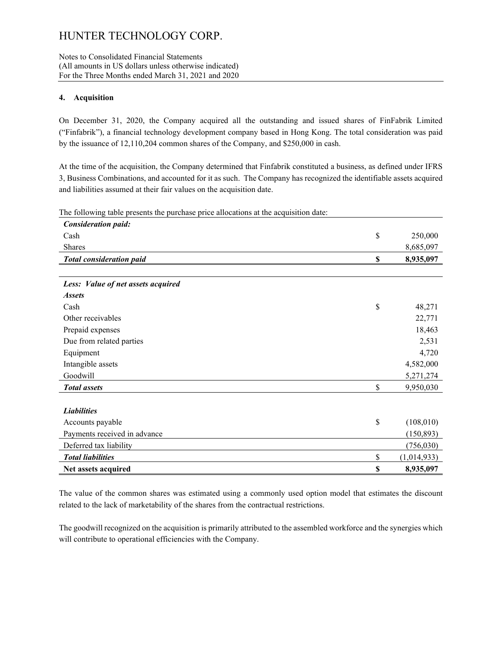#### Notes to Consolidated Financial Statements (All amounts in US dollars unless otherwise indicated) For the Three Months ended March 31, 2021 and 2020

### **4. Acquisition**

On December 31, 2020, the Company acquired all the outstanding and issued shares of FinFabrik Limited ("Finfabrik"), a financial technology development company based in Hong Kong. The total consideration was paid by the issuance of 12,110,204 common shares of the Company, and \$250,000 in cash.

At the time of the acquisition, the Company determined that Finfabrik constituted a business, as defined under IFRS 3, Business Combinations, and accounted for it as such. The Company has recognized the identifiable assets acquired and liabilities assumed at their fair values on the acquisition date.

The following table presents the purchase price allocations at the acquisition date:

| <b>Consideration paid:</b>         |                   |
|------------------------------------|-------------------|
| Cash                               | \$<br>250,000     |
| <b>Shares</b>                      | 8,685,097         |
| <b>Total consideration paid</b>    | \$<br>8,935,097   |
|                                    |                   |
| Less: Value of net assets acquired |                   |
| <b>Assets</b>                      |                   |
| Cash                               | \$<br>48,271      |
| Other receivables                  | 22,771            |
| Prepaid expenses                   | 18,463            |
| Due from related parties           | 2,531             |
| Equipment                          | 4,720             |
| Intangible assets                  | 4,582,000         |
| Goodwill                           | 5,271,274         |
| <b>Total</b> assets                | \$<br>9,950,030   |
|                                    |                   |
| <b>Liabilities</b>                 |                   |
| Accounts payable                   | \$<br>(108,010)   |
| Payments received in advance       | (150, 893)        |
| Deferred tax liability             | (756, 030)        |
| <b>Total liabilities</b>           | \$<br>(1,014,933) |
| Net assets acquired                | \$<br>8,935,097   |

The value of the common shares was estimated using a commonly used option model that estimates the discount related to the lack of marketability of the shares from the contractual restrictions.

The goodwill recognized on the acquisition is primarily attributed to the assembled workforce and the synergies which will contribute to operational efficiencies with the Company.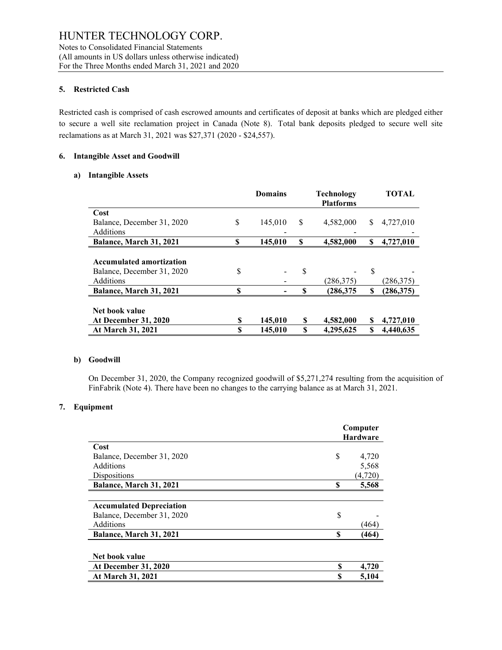#### **5. Restricted Cash**

Restricted cash is comprised of cash escrowed amounts and certificates of deposit at banks which are pledged either to secure a well site reclamation project in Canada (Note 8). Total bank deposits pledged to secure well site reclamations as at March 31, 2021 was \$27,371 (2020 - \$24,557).

#### **6. Intangible Asset and Goodwill**

#### **a) Intangible Assets**

|                                  |   | <b>Domains</b> |    | <b>Technology</b><br><b>Platforms</b> |    | <b>TOTAL</b> |
|----------------------------------|---|----------------|----|---------------------------------------|----|--------------|
| Cost                             |   |                |    |                                       |    |              |
| \$<br>Balance, December 31, 2020 |   | 145,010        | S  | 4.582,000                             | S  | 4.727,010    |
| Additions                        |   |                |    |                                       |    |              |
| S<br>Balance, March 31, 2021     |   | 145,010        | \$ | 4,582,000                             | \$ | 4,727,010    |
|                                  |   |                |    |                                       |    |              |
| <b>Accumulated amortization</b>  |   |                |    |                                       |    |              |
| S<br>Balance, December 31, 2020  |   |                | \$ |                                       | S  |              |
| Additions                        |   |                |    | (286,375)                             |    | (286,375)    |
| S<br>Balance, March 31, 2021     |   |                | S  | (286,375                              | \$ | (286, 375)   |
|                                  |   |                |    |                                       |    |              |
| Net book value                   |   |                |    |                                       |    |              |
| <b>At December 31, 2020</b>      | S | 145,010        | S  | 4,582,000                             | S  | 4,727,010    |
| At March 31, 2021                | S | 145,010        | S  | 4,295,625                             | S  | 4,440,635    |

#### **b) Goodwill**

On December 31, 2020, the Company recognized goodwill of \$5,271,274 resulting from the acquisition of FinFabrik (Note 4). There have been no changes to the carrying balance as at March 31, 2021.

#### **7. Equipment**

|                                 |    | Computer<br><b>Hardware</b> |
|---------------------------------|----|-----------------------------|
| Cost                            |    |                             |
| Balance, December 31, 2020      | S  | 4,720                       |
| Additions                       |    | 5,568                       |
| Dispositions                    |    | (4,720)                     |
| Balance, March 31, 2021         | S  | 5,568                       |
|                                 |    |                             |
| <b>Accumulated Depreciation</b> |    |                             |
| Balance, December 31, 2020      | \$ |                             |
| Additions                       |    | (464)                       |
| Balance, March 31, 2021         | \$ | (464)                       |
|                                 |    |                             |
| Net book value                  |    |                             |
| <b>At December 31, 2020</b>     | S  | 4,720                       |
| <b>At March 31, 2021</b>        | S  | 5,104                       |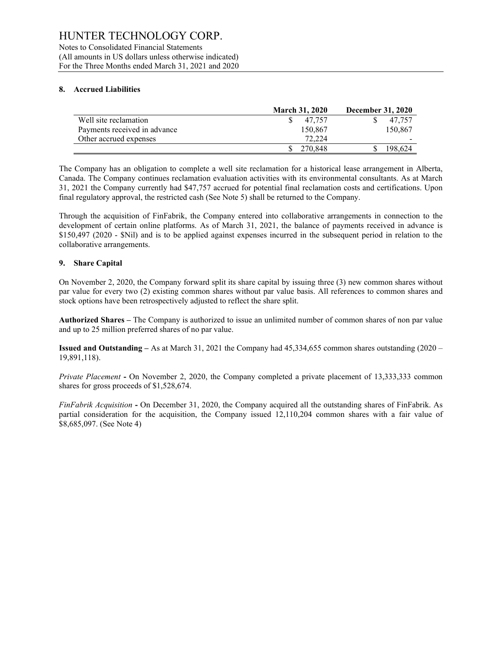Notes to Consolidated Financial Statements (All amounts in US dollars unless otherwise indicated) For the Three Months ended March 31, 2021 and 2020

### **8. Accrued Liabilities**

|                              | <b>March 31, 2020</b> | <b>December 31, 2020</b> |
|------------------------------|-----------------------|--------------------------|
| Well site reclamation        | 47.757                | 47.757                   |
| Payments received in advance | 150,867               | 150,867                  |
| Other accrued expenses       | 72,224                |                          |
|                              | 270.848               | 198.624                  |

The Company has an obligation to complete a well site reclamation for a historical lease arrangement in Alberta, Canada. The Company continues reclamation evaluation activities with its environmental consultants. As at March 31, 2021 the Company currently had \$47,757 accrued for potential final reclamation costs and certifications. Upon final regulatory approval, the restricted cash (See Note 5) shall be returned to the Company.

Through the acquisition of FinFabrik, the Company entered into collaborative arrangements in connection to the development of certain online platforms. As of March 31, 2021, the balance of payments received in advance is \$150,497 (2020 - \$Nil) and is to be applied against expenses incurred in the subsequent period in relation to the collaborative arrangements.

### **9. Share Capital**

On November 2, 2020, the Company forward split its share capital by issuing three (3) new common shares without par value for every two (2) existing common shares without par value basis. All references to common shares and stock options have been retrospectively adjusted to reflect the share split.

**Authorized Shares –** The Company is authorized to issue an unlimited number of common shares of non par value and up to 25 million preferred shares of no par value.

**Issued and Outstanding –** As at March 31, 2021 the Company had 45,334,655 common shares outstanding (2020 – 19,891,118).

*Private Placement* **-** On November 2, 2020, the Company completed a private placement of 13,333,333 common shares for gross proceeds of \$1,528,674.

*FinFabrik Acquisition* **-** On December 31, 2020, the Company acquired all the outstanding shares of FinFabrik. As partial consideration for the acquisition, the Company issued 12,110,204 common shares with a fair value of \$8,685,097. (See Note 4)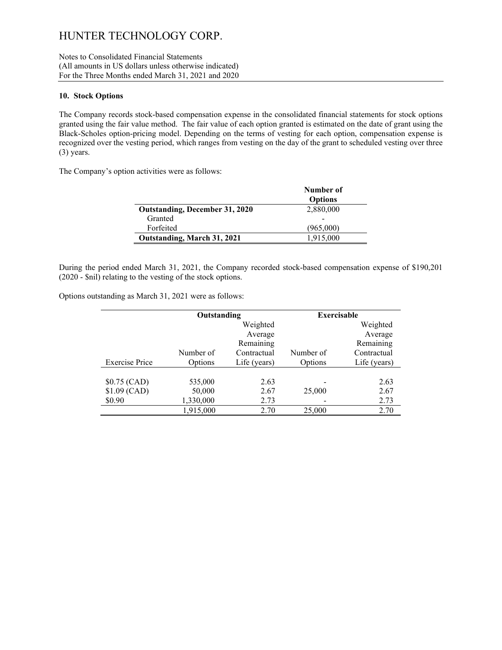Notes to Consolidated Financial Statements (All amounts in US dollars unless otherwise indicated) For the Three Months ended March 31, 2021 and 2020

#### **10. Stock Options**

The Company records stock-based compensation expense in the consolidated financial statements for stock options granted using the fair value method. The fair value of each option granted is estimated on the date of grant using the Black-Scholes option-pricing model. Depending on the terms of vesting for each option, compensation expense is recognized over the vesting period, which ranges from vesting on the day of the grant to scheduled vesting over three (3) years.

The Company's option activities were as follows:

|                                       | Number of      |
|---------------------------------------|----------------|
|                                       | <b>Options</b> |
| <b>Outstanding, December 31, 2020</b> | 2,880,000      |
| Granted                               |                |
| Forfeited                             | (965,000)      |
| Outstanding, March 31, 2021           | 1,915,000      |

During the period ended March 31, 2021, the Company recorded stock-based compensation expense of \$190,201 (2020 - \$nil) relating to the vesting of the stock options.

Options outstanding as March 31, 2021 were as follows:

|                       | Outstanding |              | <b>Exercisable</b> |              |
|-----------------------|-------------|--------------|--------------------|--------------|
|                       |             | Weighted     |                    | Weighted     |
|                       |             | Average      |                    | Average      |
|                       |             | Remaining    |                    | Remaining    |
|                       | Number of   | Contractual  | Number of          | Contractual  |
| <b>Exercise Price</b> | Options     | Life (years) | Options            | Life (years) |
|                       |             |              |                    |              |
| $$0.75$ (CAD)         | 535,000     | 2.63         |                    | 2.63         |
| $$1.09$ (CAD)         | 50,000      | 2.67         | 25,000             | 2.67         |
| \$0.90                | 1,330,000   | 2.73         |                    | 2.73         |
|                       | 1,915,000   | 2.70         | 25,000             | 2.70         |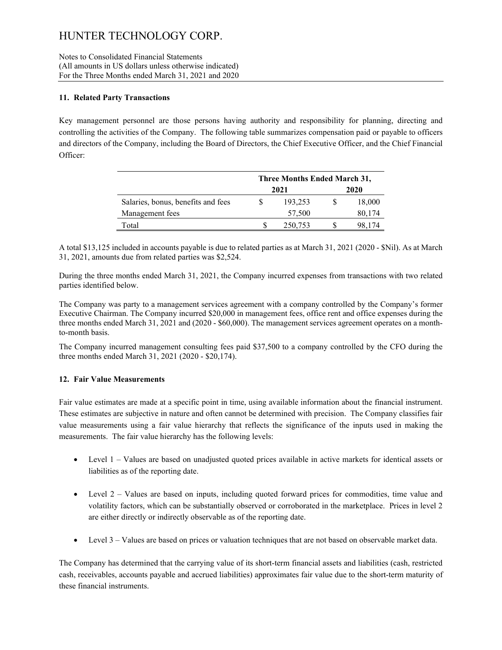Notes to Consolidated Financial Statements (All amounts in US dollars unless otherwise indicated) For the Three Months ended March 31, 2021 and 2020

### **11. Related Party Transactions**

Key management personnel are those persons having authority and responsibility for planning, directing and controlling the activities of the Company. The following table summarizes compensation paid or payable to officers and directors of the Company, including the Board of Directors, the Chief Executive Officer, and the Chief Financial Officer:

|                                    | Three Months Ended March 31, |         |      |        |  |  |
|------------------------------------|------------------------------|---------|------|--------|--|--|
|                                    |                              | 2021    | 2020 |        |  |  |
| Salaries, bonus, benefits and fees |                              | 193,253 |      | 18,000 |  |  |
| Management fees                    |                              | 57,500  |      | 80,174 |  |  |
| Total                              |                              | 250,753 |      | 98.174 |  |  |

A total \$13,125 included in accounts payable is due to related parties as at March 31, 2021 (2020 - \$Nil). As at March 31, 2021, amounts due from related parties was \$2,524.

During the three months ended March 31, 2021, the Company incurred expenses from transactions with two related parties identified below.

The Company was party to a management services agreement with a company controlled by the Company's former Executive Chairman. The Company incurred \$20,000 in management fees, office rent and office expenses during the three months ended March 31, 2021 and (2020 - \$60,000). The management services agreement operates on a monthto-month basis.

The Company incurred management consulting fees paid \$37,500 to a company controlled by the CFO during the three months ended March 31, 2021 (2020 - \$20,174).

# **12. Fair Value Measurements**

Fair value estimates are made at a specific point in time, using available information about the financial instrument. These estimates are subjective in nature and often cannot be determined with precision. The Company classifies fair value measurements using a fair value hierarchy that reflects the significance of the inputs used in making the measurements. The fair value hierarchy has the following levels:

- Level 1 Values are based on unadjusted quoted prices available in active markets for identical assets or liabilities as of the reporting date.
- Level 2 Values are based on inputs, including quoted forward prices for commodities, time value and volatility factors, which can be substantially observed or corroborated in the marketplace. Prices in level 2 are either directly or indirectly observable as of the reporting date.
- Level 3 Values are based on prices or valuation techniques that are not based on observable market data.

The Company has determined that the carrying value of its short-term financial assets and liabilities (cash, restricted cash, receivables, accounts payable and accrued liabilities) approximates fair value due to the short-term maturity of these financial instruments.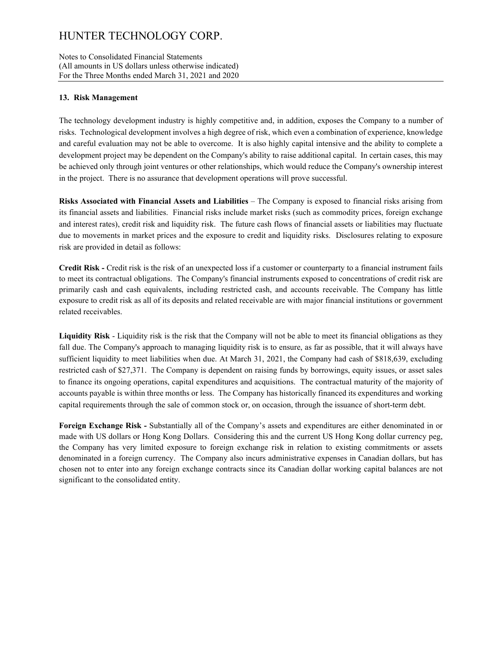Notes to Consolidated Financial Statements (All amounts in US dollars unless otherwise indicated) For the Three Months ended March 31, 2021 and 2020

### **13. Risk Management**

The technology development industry is highly competitive and, in addition, exposes the Company to a number of risks. Technological development involves a high degree of risk, which even a combination of experience, knowledge and careful evaluation may not be able to overcome. It is also highly capital intensive and the ability to complete a development project may be dependent on the Company's ability to raise additional capital. In certain cases, this may be achieved only through joint ventures or other relationships, which would reduce the Company's ownership interest in the project. There is no assurance that development operations will prove successful.

**Risks Associated with Financial Assets and Liabilities** – The Company is exposed to financial risks arising from its financial assets and liabilities. Financial risks include market risks (such as commodity prices, foreign exchange and interest rates), credit risk and liquidity risk. The future cash flows of financial assets or liabilities may fluctuate due to movements in market prices and the exposure to credit and liquidity risks. Disclosures relating to exposure risk are provided in detail as follows:

**Credit Risk -** Credit risk is the risk of an unexpected loss if a customer or counterparty to a financial instrument fails to meet its contractual obligations. The Company's financial instruments exposed to concentrations of credit risk are primarily cash and cash equivalents, including restricted cash, and accounts receivable. The Company has little exposure to credit risk as all of its deposits and related receivable are with major financial institutions or government related receivables.

**Liquidity Risk** - Liquidity risk is the risk that the Company will not be able to meet its financial obligations as they fall due. The Company's approach to managing liquidity risk is to ensure, as far as possible, that it will always have sufficient liquidity to meet liabilities when due. At March 31, 2021, the Company had cash of \$818,639, excluding restricted cash of \$27,371. The Company is dependent on raising funds by borrowings, equity issues, or asset sales to finance its ongoing operations, capital expenditures and acquisitions. The contractual maturity of the majority of accounts payable is within three months or less. The Company has historically financed its expenditures and working capital requirements through the sale of common stock or, on occasion, through the issuance of short-term debt.

**Foreign Exchange Risk -** Substantially all of the Company's assets and expenditures are either denominated in or made with US dollars or Hong Kong Dollars. Considering this and the current US Hong Kong dollar currency peg, the Company has very limited exposure to foreign exchange risk in relation to existing commitments or assets denominated in a foreign currency. The Company also incurs administrative expenses in Canadian dollars, but has chosen not to enter into any foreign exchange contracts since its Canadian dollar working capital balances are not significant to the consolidated entity.